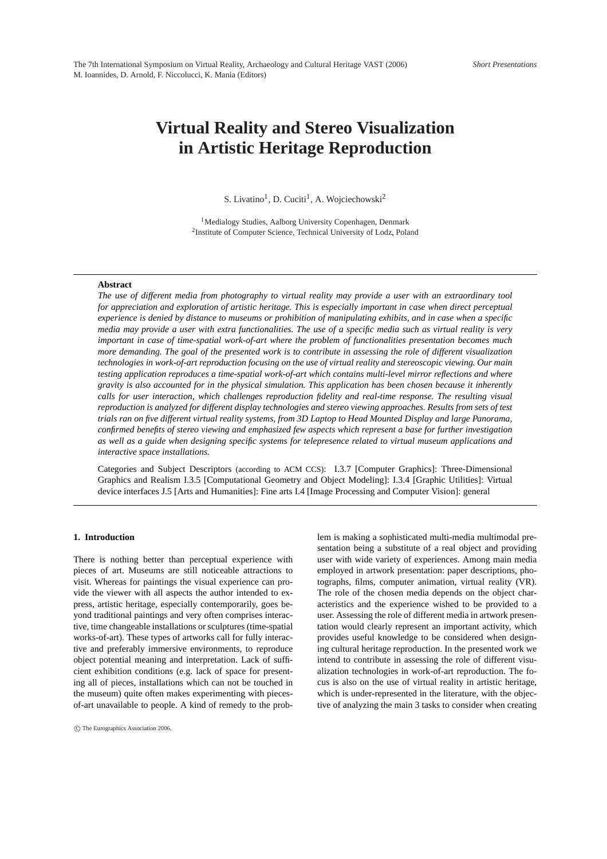# **Virtual Reality and Stereo Visualization in Artistic Heritage Reproduction**

S. Livatino<sup>1</sup>, D. Cuciti<sup>1</sup>, A. Wojciechowski<sup>2</sup>

<sup>1</sup>Medialogy Studies, Aalborg University Copenhagen, Denmark <sup>2</sup> Institute of Computer Science, Technical University of Lodz, Poland

#### **Abstract**

*The use of different media from photography to virtual reality may provide a user with an extraordinary tool for appreciation and exploration of artistic heritage. This is especially important in case when direct perceptual experience is denied by distance to museums or prohibition of manipulating exhibits, and in case when a specific media may provide a user with extra functionalities. The use of a specific media such as virtual reality is very important in case of time-spatial work-of-art where the problem of functionalities presentation becomes much more demanding. The goal of the presented work is to contribute in assessing the role of different visualization technologies in work-of-art reproduction focusing on the use of virtual reality and stereoscopic viewing. Our main testing application reproduces a time-spatial work-of-art which contains multi-level mirror reflections and where gravity is also accounted for in the physical simulation. This application has been chosen because it inherently calls for user interaction, which challenges reproduction fidelity and real-time response. The resulting visual reproduction is analyzed for different display technologies and stereo viewing approaches. Results from sets of test trials ran on five different virtual reality systems, from 3D Laptop to Head Mounted Display and large Panorama, confirmed benefits of stereo viewing and emphasized few aspects which represent a base for further investigation as well as a guide when designing specific systems for telepresence related to virtual museum applications and interactive space installations.*

Categories and Subject Descriptors (according to ACM CCS): I.3.7 [Computer Graphics]: Three-Dimensional Graphics and Realism I.3.5 [Computational Geometry and Object Modeling]: I.3.4 [Graphic Utilities]: Virtual device interfaces J.5 [Arts and Humanities]: Fine arts I.4 [Image Processing and Computer Vision]: general

# **1. Introduction**

There is nothing better than perceptual experience with pieces of art. Museums are still noticeable attractions to visit. Whereas for paintings the visual experience can provide the viewer with all aspects the author intended to express, artistic heritage, especially contemporarily, goes beyond traditional paintings and very often comprises interactive, time changeable installations or sculptures (time-spatial works-of-art). These types of artworks call for fully interactive and preferably immersive environments, to reproduce object potential meaning and interpretation. Lack of sufficient exhibition conditions (e.g. lack of space for presenting all of pieces, installations which can not be touched in the museum) quite often makes experimenting with piecesof-art unavailable to people. A kind of remedy to the problem is making a sophisticated multi-media multimodal presentation being a substitute of a real object and providing user with wide variety of experiences. Among main media employed in artwork presentation: paper descriptions, photographs, films, computer animation, virtual reality (VR). The role of the chosen media depends on the object characteristics and the experience wished to be provided to a user. Assessing the role of different media in artwork presentation would clearly represent an important activity, which provides useful knowledge to be considered when designing cultural heritage reproduction. In the presented work we intend to contribute in assessing the role of different visualization technologies in work-of-art reproduction. The focus is also on the use of virtual reality in artistic heritage, which is under-represented in the literature, with the objective of analyzing the main 3 tasks to consider when creating

<sup>°</sup>c The Eurographics Association 2006.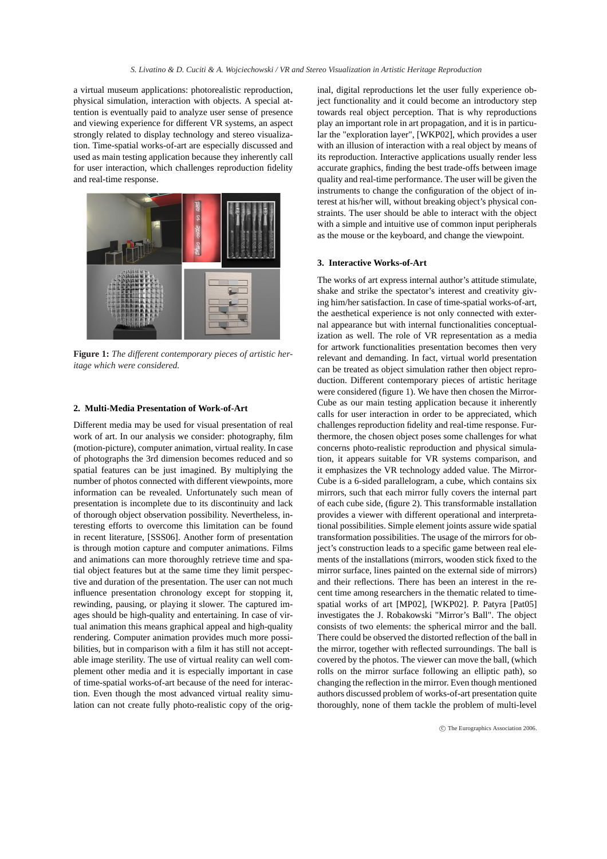a virtual museum applications: photorealistic reproduction, physical simulation, interaction with objects. A special attention is eventually paid to analyze user sense of presence and viewing experience for different VR systems, an aspect strongly related to display technology and stereo visualization. Time-spatial works-of-art are especially discussed and used as main testing application because they inherently call for user interaction, which challenges reproduction fidelity and real-time response.



**Figure 1:** *The different contemporary pieces of artistic heritage which were considered.*

#### **2. Multi-Media Presentation of Work-of-Art**

Different media may be used for visual presentation of real work of art. In our analysis we consider: photography, film (motion-picture), computer animation, virtual reality. In case of photographs the 3rd dimension becomes reduced and so spatial features can be just imagined. By multiplying the number of photos connected with different viewpoints, more information can be revealed. Unfortunately such mean of presentation is incomplete due to its discontinuity and lack of thorough object observation possibility. Nevertheless, interesting efforts to overcome this limitation can be found in recent literature, [SSS06]. Another form of presentation is through motion capture and computer animations. Films and animations can more thoroughly retrieve time and spatial object features but at the same time they limit perspective and duration of the presentation. The user can not much influence presentation chronology except for stopping it, rewinding, pausing, or playing it slower. The captured images should be high-quality and entertaining. In case of virtual animation this means graphical appeal and high-quality rendering. Computer animation provides much more possibilities, but in comparison with a film it has still not acceptable image sterility. The use of virtual reality can well complement other media and it is especially important in case of time-spatial works-of-art because of the need for interaction. Even though the most advanced virtual reality simulation can not create fully photo-realistic copy of the orig-

inal, digital reproductions let the user fully experience object functionality and it could become an introductory step towards real object perception. That is why reproductions play an important role in art propagation, and it is in particular the "exploration layer", [WKP02], which provides a user with an illusion of interaction with a real object by means of its reproduction. Interactive applications usually render less accurate graphics, finding the best trade-offs between image quality and real-time performance. The user will be given the instruments to change the configuration of the object of interest at his/her will, without breaking object's physical constraints. The user should be able to interact with the object with a simple and intuitive use of common input peripherals as the mouse or the keyboard, and change the viewpoint.

# **3. Interactive Works-of-Art**

The works of art express internal author's attitude stimulate, shake and strike the spectator's interest and creativity giving him/her satisfaction. In case of time-spatial works-of-art, the aesthetical experience is not only connected with external appearance but with internal functionalities conceptualization as well. The role of VR representation as a media for artwork functionalities presentation becomes then very relevant and demanding. In fact, virtual world presentation can be treated as object simulation rather then object reproduction. Different contemporary pieces of artistic heritage were considered (figure 1). We have then chosen the Mirror-Cube as our main testing application because it inherently calls for user interaction in order to be appreciated, which challenges reproduction fidelity and real-time response. Furthermore, the chosen object poses some challenges for what concerns photo-realistic reproduction and physical simulation, it appears suitable for VR systems comparison, and it emphasizes the VR technology added value. The Mirror-Cube is a 6-sided parallelogram, a cube, which contains six mirrors, such that each mirror fully covers the internal part of each cube side, (figure 2). This transformable installation provides a viewer with different operational and interpretational possibilities. Simple element joints assure wide spatial transformation possibilities. The usage of the mirrors for object's construction leads to a specific game between real elements of the installations (mirrors, wooden stick fixed to the mirror surface, lines painted on the external side of mirrors) and their reflections. There has been an interest in the recent time among researchers in the thematic related to timespatial works of art [MP02], [WKP02]. P. Patyra [Pat05] investigates the J. Robakowski "Mirror's Ball". The object consists of two elements: the spherical mirror and the ball. There could be observed the distorted reflection of the ball in the mirror, together with reflected surroundings. The ball is covered by the photos. The viewer can move the ball, (which rolls on the mirror surface following an elliptic path), so changing the reflection in the mirror. Even though mentioned authors discussed problem of works-of-art presentation quite thoroughly, none of them tackle the problem of multi-level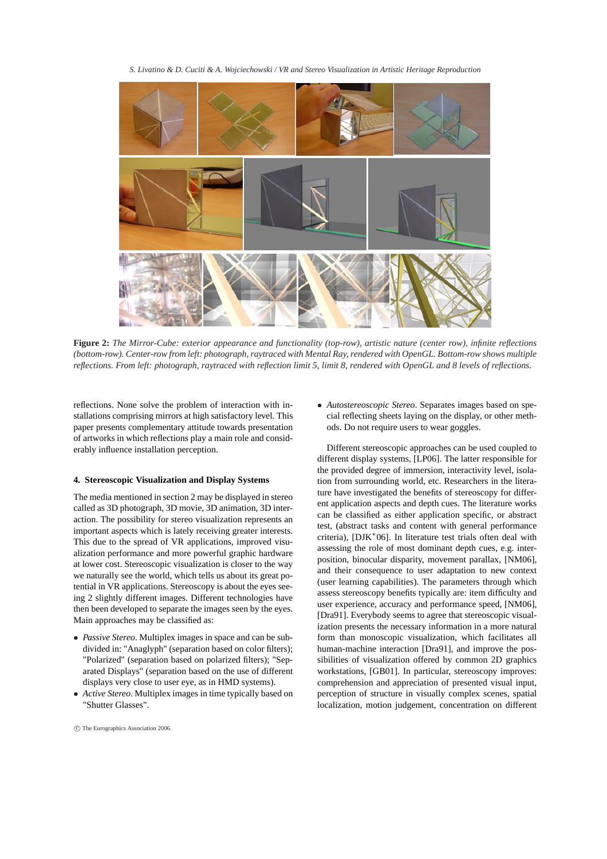*S. Livatino & D. Cuciti & A. Wojciechowski / VR and Stereo Visualization in Artistic Heritage Reproduction*



**Figure 2:** *The Mirror-Cube: exterior appearance and functionality (top-row), artistic nature (center row), infinite reflections (bottom-row). Center-row from left: photograph, raytraced with Mental Ray, rendered with OpenGL. Bottom-row shows multiple reflections. From left: photograph, raytraced with reflection limit 5, limit 8, rendered with OpenGL and 8 levels of reflections.*

reflections. None solve the problem of interaction with installations comprising mirrors at high satisfactory level. This paper presents complementary attitude towards presentation of artworks in which reflections play a main role and considerably influence installation perception.

### **4. Stereoscopic Visualization and Display Systems**

The media mentioned in section 2 may be displayed in stereo called as 3D photograph, 3D movie, 3D animation, 3D interaction. The possibility for stereo visualization represents an important aspects which is lately receiving greater interests. This due to the spread of VR applications, improved visualization performance and more powerful graphic hardware at lower cost. Stereoscopic visualization is closer to the way we naturally see the world, which tells us about its great potential in VR applications. Stereoscopy is about the eyes seeing 2 slightly different images. Different technologies have then been developed to separate the images seen by the eyes. Main approaches may be classified as:

- *Passive Stereo*. Multiplex images in space and can be subdivided in: "Anaglyph" (separation based on color filters); "Polarized" (separation based on polarized filters); "Separated Displays" (separation based on the use of different displays very close to user eye, as in HMD systems).
- *Active Stereo*. Multiplex images in time typically based on "Shutter Glasses".
- °c The Eurographics Association 2006.

• *Autostereoscopic Stereo*. Separates images based on special reflecting sheets laying on the display, or other methods. Do not require users to wear goggles.

Different stereoscopic approaches can be used coupled to different display systems, [LP06]. The latter responsible for the provided degree of immersion, interactivity level, isolation from surrounding world, etc. Researchers in the literature have investigated the benefits of stereoscopy for different application aspects and depth cues. The literature works can be classified as either application specific, or abstract test, (abstract tasks and content with general performance criteria), [DJK<sup>∗</sup> 06]. In literature test trials often deal with assessing the role of most dominant depth cues, e.g. interposition, binocular disparity, movement parallax, [NM06], and their consequence to user adaptation to new context (user learning capabilities). The parameters through which assess stereoscopy benefits typically are: item difficulty and user experience, accuracy and performance speed, [NM06], [Dra91]. Everybody seems to agree that stereoscopic visualization presents the necessary information in a more natural form than monoscopic visualization, which facilitates all human-machine interaction [Dra91], and improve the possibilities of visualization offered by common 2D graphics workstations, [GB01]. In particular, stereoscopy improves: comprehension and appreciation of presented visual input, perception of structure in visually complex scenes, spatial localization, motion judgement, concentration on different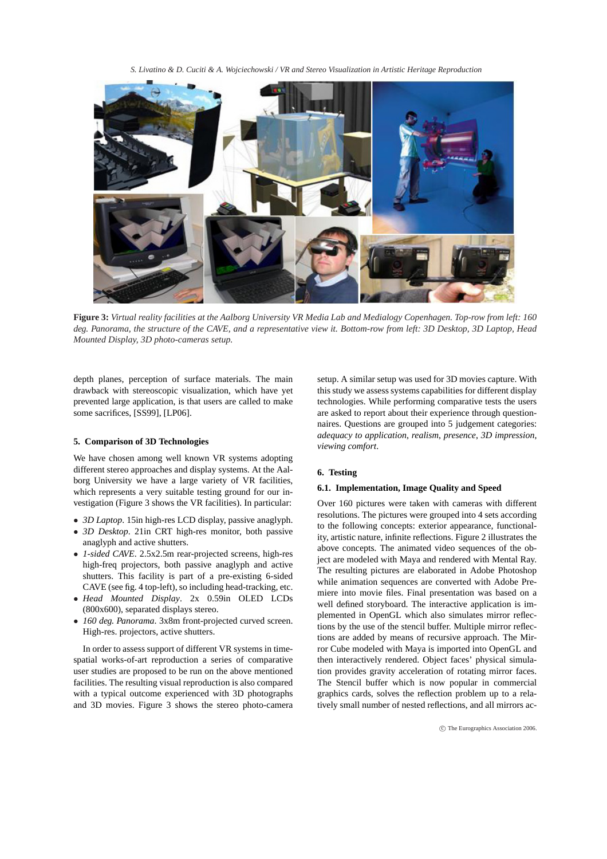*S. Livatino & D. Cuciti & A. Wojciechowski / VR and Stereo Visualization in Artistic Heritage Reproduction*



**Figure 3:** *Virtual reality facilities at the Aalborg University VR Media Lab and Medialogy Copenhagen. Top-row from left: 160 deg. Panorama, the structure of the CAVE, and a representative view it. Bottom-row from left: 3D Desktop, 3D Laptop, Head Mounted Display, 3D photo-cameras setup.*

depth planes, perception of surface materials. The main drawback with stereoscopic visualization, which have yet prevented large application, is that users are called to make some sacrifices, [SS99], [LP06].

# **5. Comparison of 3D Technologies**

We have chosen among well known VR systems adopting different stereo approaches and display systems. At the Aalborg University we have a large variety of VR facilities, which represents a very suitable testing ground for our investigation (Figure 3 shows the VR facilities). In particular:

- *3D Laptop*. 15in high-res LCD display, passive anaglyph.
- *3D Desktop*. 21in CRT high-res monitor, both passive anaglyph and active shutters.
- *1-sided CAVE*. 2.5x2.5m rear-projected screens, high-res high-freq projectors, both passive anaglyph and active shutters. This facility is part of a pre-existing 6-sided CAVE (see fig. 4 top-left), so including head-tracking, etc.
- *Head Mounted Display*. 2x 0.59in OLED LCDs (800x600), separated displays stereo.
- *160 deg. Panorama*. 3x8m front-projected curved screen. High-res. projectors, active shutters.

In order to assess support of different VR systems in timespatial works-of-art reproduction a series of comparative user studies are proposed to be run on the above mentioned facilities. The resulting visual reproduction is also compared with a typical outcome experienced with 3D photographs and 3D movies. Figure 3 shows the stereo photo-camera setup. A similar setup was used for 3D movies capture. With this study we assess systems capabilities for different display technologies. While performing comparative tests the users are asked to report about their experience through questionnaires. Questions are grouped into 5 judgement categories: *adequacy to application*, *realism*, *presence*, *3D impression*, *viewing comfort*.

## **6. Testing**

### **6.1. Implementation, Image Quality and Speed**

Over 160 pictures were taken with cameras with different resolutions. The pictures were grouped into 4 sets according to the following concepts: exterior appearance, functionality, artistic nature, infinite reflections. Figure 2 illustrates the above concepts. The animated video sequences of the object are modeled with Maya and rendered with Mental Ray. The resulting pictures are elaborated in Adobe Photoshop while animation sequences are converted with Adobe Premiere into movie files. Final presentation was based on a well defined storyboard. The interactive application is implemented in OpenGL which also simulates mirror reflections by the use of the stencil buffer. Multiple mirror reflections are added by means of recursive approach. The Mirror Cube modeled with Maya is imported into OpenGL and then interactively rendered. Object faces' physical simulation provides gravity acceleration of rotating mirror faces. The Stencil buffer which is now popular in commercial graphics cards, solves the reflection problem up to a relatively small number of nested reflections, and all mirrors ac-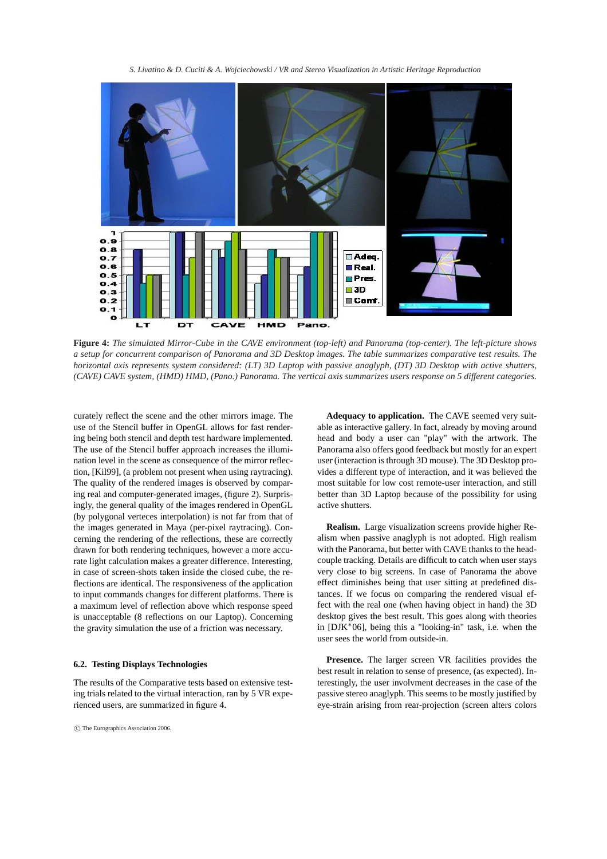*S. Livatino & D. Cuciti & A. Wojciechowski / VR and Stereo Visualization in Artistic Heritage Reproduction*



**Figure 4:** *The simulated Mirror-Cube in the CAVE environment (top-left) and Panorama (top-center). The left-picture shows a setup for concurrent comparison of Panorama and 3D Desktop images. The table summarizes comparative test results. The horizontal axis represents system considered: (LT) 3D Laptop with passive anaglyph, (DT) 3D Desktop with active shutters, (CAVE) CAVE system, (HMD) HMD, (Pano.) Panorama. The vertical axis summarizes users response on 5 different categories.*

curately reflect the scene and the other mirrors image. The use of the Stencil buffer in OpenGL allows for fast rendering being both stencil and depth test hardware implemented. The use of the Stencil buffer approach increases the illumination level in the scene as consequence of the mirror reflection, [Kil99], (a problem not present when using raytracing). The quality of the rendered images is observed by comparing real and computer-generated images, (figure 2). Surprisingly, the general quality of the images rendered in OpenGL (by polygonal verteces interpolation) is not far from that of the images generated in Maya (per-pixel raytracing). Concerning the rendering of the reflections, these are correctly drawn for both rendering techniques, however a more accurate light calculation makes a greater difference. Interesting, in case of screen-shots taken inside the closed cube, the reflections are identical. The responsiveness of the application to input commands changes for different platforms. There is a maximum level of reflection above which response speed is unacceptable (8 reflections on our Laptop). Concerning the gravity simulation the use of a friction was necessary.

# **6.2. Testing Displays Technologies**

The results of the Comparative tests based on extensive testing trials related to the virtual interaction, ran by 5 VR experienced users, are summarized in figure 4.

°c The Eurographics Association 2006.

**Adequacy to application.** The CAVE seemed very suitable as interactive gallery. In fact, already by moving around head and body a user can "play" with the artwork. The Panorama also offers good feedback but mostly for an expert user (interaction is through 3D mouse). The 3D Desktop provides a different type of interaction, and it was believed the most suitable for low cost remote-user interaction, and still better than 3D Laptop because of the possibility for using active shutters.

**Realism.** Large visualization screens provide higher Realism when passive anaglyph is not adopted. High realism with the Panorama, but better with CAVE thanks to the headcouple tracking. Details are difficult to catch when user stays very close to big screens. In case of Panorama the above effect diminishes being that user sitting at predefined distances. If we focus on comparing the rendered visual effect with the real one (when having object in hand) the 3D desktop gives the best result. This goes along with theories in [DJK<sup>∗</sup> 06], being this a "looking-in" task, i.e. when the user sees the world from outside-in.

**Presence.** The larger screen VR facilities provides the best result in relation to sense of presence, (as expected). Interestingly, the user involvment decreases in the case of the passive stereo anaglyph. This seems to be mostly justified by eye-strain arising from rear-projection (screen alters colors